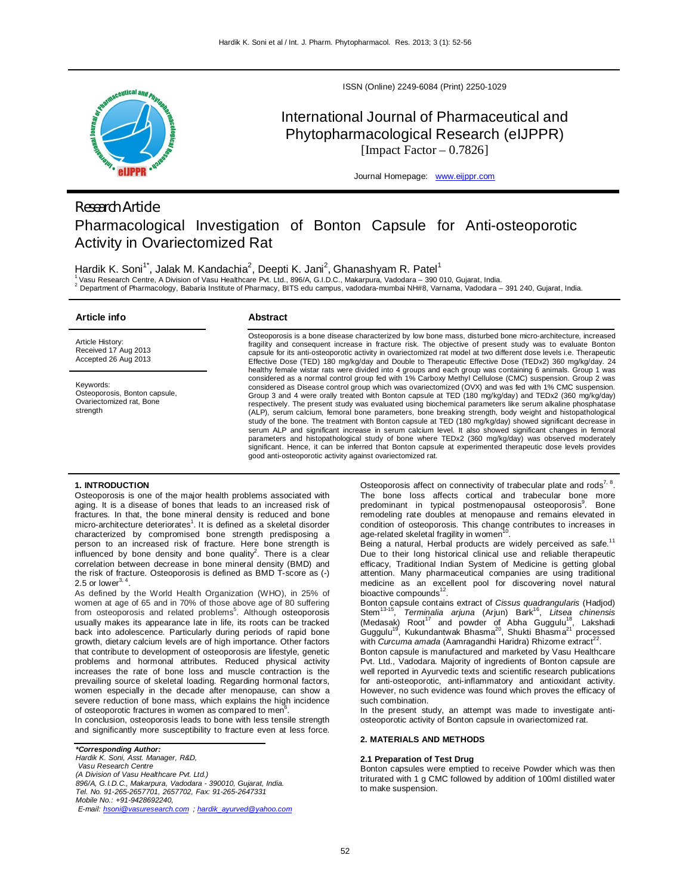

ISSN (Online) 2249-6084 (Print) 2250-1029

# International Journal of Pharmaceutical and Phytopharmacological Research (eIJPPR) [Impact Factor  $-0.7826$ ]

Journal Homepage: www.eijppr.com

# *Research Article* Pharmacological Investigation of Bonton Capsule for Anti-osteoporotic Activity in Ovariectomized Rat

Hardik K. Soni<sup>1\*</sup>, Jalak M. Kandachia<sup>2</sup>, Deepti K. Jani<sup>2</sup>, Ghanashyam R. Patel<sup>1</sup>

<sup>1</sup>Vasu Research Centre, A Division of Vasu Healthcare Pvt. Ltd., 896/A, G.I.D.C., Makarpura, Vadodara – 390 010, Gujarat, India.

2 Department of Pharmacology, Babaria Institute of Pharmacy, BITS edu campus, vadodara-mumbai NH#8, Varnama, Vadodara – 391 240, Gujarat, India.

# **Article info**

Article History: Received 17 Aug 2013 Accepted 26 Aug 2013

Keywords:

strength

**Abstract**

Osteoporosis is a bone disease characterized by low bone mass, disturbed bone micro-architecture, increased fragility and consequent increase in fracture risk. The objective of present study was to evaluate Bonton capsule for its anti-osteoporotic activity in ovariectomized rat model at two different dose levels i.e. Therapeutic Effective Dose (TED) 180 mg/kg/day and Double to Therapeutic Effective Dose (TEDx2) 360 mg/kg/day. 24 healthy female wistar rats were divided into 4 groups and each group was containing 6 animals. Group 1 was considered as a normal control group fed with 1% Carboxy Methyl Cellulose (CMC) suspension. Group 2 was considered as Disease control group which was ovariectomized (OVX) and was fed with 1% CMC suspension. Group 3 and 4 were orally treated with Bonton capsule at TED (180 mg/kg/day) and TEDx2 (360 mg/kg/day) respectively. The present study was evaluated using biochemical parameters like serum alkaline phosphatase (ALP), serum calcium, femoral bone parameters, bone breaking strength, body weight and histopathological study of the bone. The treatment with Bonton capsule at TED (180 mg/kg/day) showed significant decrease in serum ALP and significant increase in serum calcium level. It also showed significant changes in femoral parameters and histopathological study of bone where TEDx2 (360 mg/kg/day) was observed moderately significant. Hence, it can be inferred that Bonton capsule at experimented therapeutic dose levels provides good anti-osteoporotic activity against ovariectomized rat.

## **1. INTRODUCTION**

Osteoporosis, Bonton capsule, Ovariectomized rat, Bone

Osteoporosis is one of the major health problems associated with aging. It is a disease of bones that leads to an increased risk of fractures. In that, the bone mineral density is reduced and bone micro-architecture deteriorates<sup>1</sup>. It is defined as a skeletal disorder characterized by compromised bone strength predisposing a person to an increased risk of fracture. Here bone strength is influenced by bone density and bone quality<sup>2</sup>. There is a clear correlation between decrease in bone mineral density (BMD) and the risk of fracture. Osteoporosis is defined as BMD T-score as (-) 2.5 or lower $^{3, 4}$ .

As defined by the World Health Organization (WHO), in 25% of women at age of 65 and in 70% of those above age of 80 suffering from osteoporosis and related problems<sup>5</sup>. Although osteoporosis usually makes its appearance late in life, its roots can be tracked back into adolescence. Particularly during periods of rapid bone growth, dietary calcium levels are of high importance. Other factors that contribute to development of osteoporosis are lifestyle, genetic problems and hormonal attributes. Reduced physical activity increases the rate of bone loss and muscle contraction is the prevailing source of skeletal loading. Regarding hormonal factors, women especially in the decade after menopause, can show a severe reduction of bone mass, which explains the high incidence of osteoporotic fractures in women as compared to men<sup>6</sup> .

In conclusion, osteoporosis leads to bone with less tensile strength and significantly more susceptibility to fracture even at less force.

*\*Corresponding Author:*

*Hardik K. Soni, Asst. Manager, R&D, Vasu Research Centre (A Division of Vasu Healthcare Pvt. Ltd.) 896/A, G.I.D.C., Makarpura, Vadodara - 390010, Gujarat, India. Tel. No. 91-265-2657701, 2657702, Fax: 91-265-2647331 Mobile No.: +91-9428692240,*

*E-mail: hsoni@vasuresearch.com ; hardik\_ayurved@yahoo.com*

Osteoporosis affect on connectivity of trabecular plate and rods<sup>7, 8</sup>. The bone loss affects cortical and trabecular bone more predominant in typical postmenopausal osteoporosis<sup>9</sup>. Bone remodeling rate doubles at menopause and remains elevated in condition of osteoporosis. This change contributes to increases in age-related skeletal fragility in women<sup>1</sup>

age-related skeletal fragility in women'<sup>v</sup>.<br>Being a natural, Herbal products are widely perceived as safe.<sup>11</sup> Due to their long historical clinical use and reliable therapeutic efficacy, Traditional Indian System of Medicine is getting global attention. Many pharmaceutical companies are using traditional medicine as an excellent pool for discovering novel natural bioactive compounds $12$ .

Bonton capsule contains extract of *Cissus quadrangularis (*Hadjod)<br>Stem<sup>13-15</sup>, *Terminalia arjuna (*Arjun) Bark<sup>16</sup>, *Litsea chinensis* , *Terminalia arjuna* (Arjun) Bark<sup>16</sup> , *Litsea chinensis*  (Medasak) Root<sup>17</sup> and powder of Abha Guggulu<sup>18</sup>, Lakshadi Guggulu<sup>19</sup>, Kukundantwak Bhasma<sup>20</sup>, Shukti Bhasma<sup>21</sup> processed with *Curcuma amada* (Aamragandhi Haridra) Rhizome extract<sup>22</sup>.

Bonton capsule is manufactured and marketed by Vasu Healthcare Pvt. Ltd., Vadodara. Majority of ingredients of Bonton capsule are well reported in Ayurvedic texts and scientific research publications for anti-osteoporotic, anti-inflammatory and antioxidant activity. However, no such evidence was found which proves the efficacy of such combination.

In the present study, an attempt was made to investigate antiosteoporotic activity of Bonton capsule in ovariectomized rat.

## **2. MATERIALS AND METHODS**

#### **2.1 Preparation of Test Drug**

Bonton capsules were emptied to receive Powder which was then triturated with 1 g CMC followed by addition of 100ml distilled water to make suspension.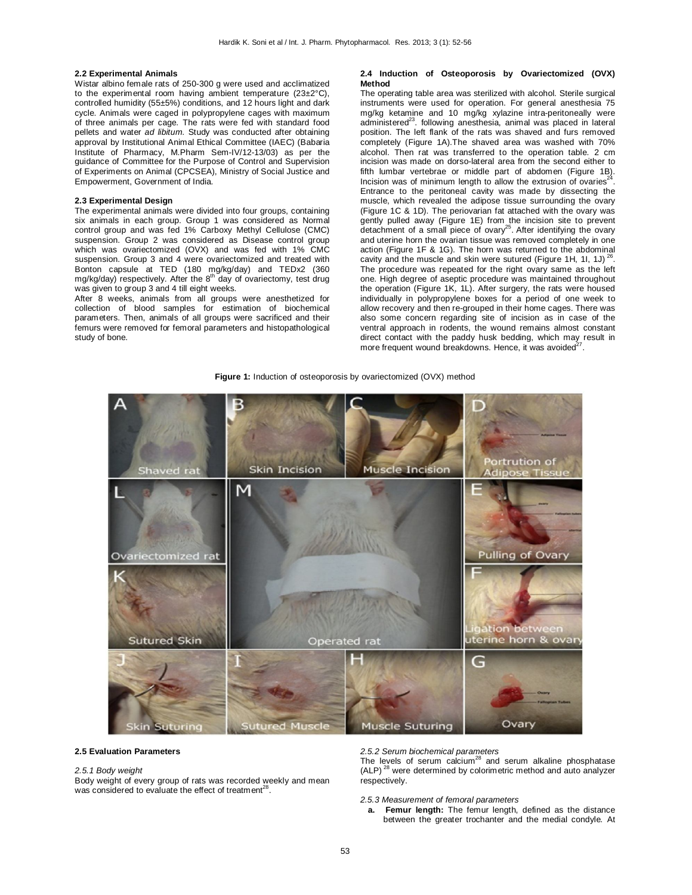### **2.2 Experimental Animals**

Wistar albino female rats of 250-300 g were used and acclimatized to the experimental room having ambient temperature (23±2°C), controlled humidity (55±5%) conditions, and 12 hours light and dark cycle. Animals were caged in polypropylene cages with maximum of three animals per cage. The rats were fed with standard food pellets and water *ad libitum*. Study was conducted after obtaining approval by Institutional Animal Ethical Committee (IAEC) (Babaria Institute of Pharmacy, M.Pharm Sem-IV/12-13/03) as per the guidance of Committee for the Purpose of Control and Supervision of Experiments on Animal (CPCSEA), Ministry of Social Justice and Empowerment, Government of India.

## **2.3 Experimental Design**

The experimental animals were divided into four groups, containing six animals in each group. Group 1 was considered as Normal control group and was fed 1% Carboxy Methyl Cellulose (CMC) suspension. Group 2 was considered as Disease control group which was ovariectomized (OVX) and was fed with 1% CMC suspension. Group 3 and 4 were ovariectomized and treated with Bonton capsule at TED (180 mg/kg/day) and TEDx2 (360 mg/kg/day) respectively. After the 8<sup>th</sup> day of ovariectomy, test drug was given to group 3 and 4 till eight weeks.

After 8 weeks, animals from all groups were anesthetized for collection of blood samples for estimation of biochemical parameters. Then, animals of all groups were sacrificed and their femurs were removed for femoral parameters and histopathological study of bone.

#### **2.4 Induction of Osteoporosis by Ovariectomized (OVX) Method**

The operating table area was sterilized with alcohol. Sterile surgical instruments were used for operation. For general anesthesia 75 mg/kg ketamine and 10 mg/kg xylazine intra-peritoneally were  $administered<sup>23</sup>$ . following anesthesia, animal was placed in lateral position. The left flank of the rats was shaved and furs removed completely (Figure 1A).The shaved area was washed with 70% alcohol. Then rat was transferred to the operation table. 2 cm incision was made on dorso-lateral area from the second either to fifth lumbar vertebrae or middle part of abdomen (Figure 1B). Incision was of minimum length to allow the extrusion of ovaries $24$ . Entrance to the peritoneal cavity was made by dissecting the muscle, which revealed the adipose tissue surrounding the ovary (Figure 1C & 1D). The periovarian fat attached with the ovary was gently pulled away (Figure 1E) from the incision site to prevent detachment of a small piece of ovary<sup>25</sup>. After identifying the ovary and uterine horn the ovarian tissue was removed completely in one action (Figure 1F & 1G). The horn was returned to the abdominal cavity and the muscle and skin were sutured (Figure 1H, 1I, 1J)<sup>26</sup> . The procedure was repeated for the right ovary same as the left one. High degree of aseptic procedure was maintained throughout the operation (Figure 1K, 1L). After surgery, the rats were housed individually in polypropylene boxes for a period of one week to allow recovery and then re-grouped in their home cages. There was also some concern regarding site of incision as in case of the ventral approach in rodents, the wound remains almost constant direct contact with the paddy husk bedding, which may result in more frequent wound breakdowns. Hence, it was avoided<sup>2</sup> .

#### **Figure 1:** Induction of osteoporosis by ovariectomized (OVX) method



#### **2.5 Evaluation Parameters**

#### *2.5.1 Body weight*

Body weight of every group of rats was recorded weekly and mean was considered to evaluate the effect of treatment<sup>28</sup>.

*2.5.2 Serum biochemical parameters* 

The levels of serum calcium<sup>28</sup> and serum alkaline phosphatase (ALP)<sup>28</sup> were determined by colorimetric method and auto analyzer respectively.

*2.5.3 Measurement of femoral parameters*

**a. Femur length:** The femur length, defined as the distance between the greater trochanter and the medial condyle. At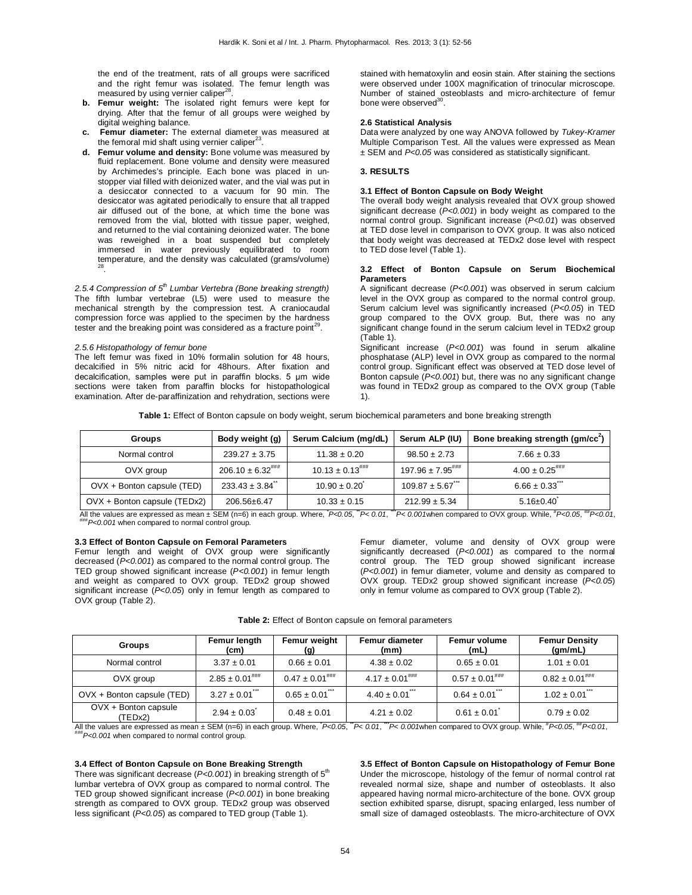the end of the treatment, rats of all groups were sacrificed and the right femur was isolated. The femur length was measured by using vernier caliper<sup>28</sup> .

- **b. Femur weight:** The isolated right femurs were kept for drying. After that the femur of all groups were weighed by digital weighing balance.
- **c. Femur diameter:** The external diameter was measured at the femoral mid shaft using vernier caliper<sup>23</sup>.
- **d. Femur volume and density:** Bone volume was measured by fluid replacement. Bone volume and density were measured by Archimedes's principle. Each bone was placed in unstopper vial filled with deionized water, and the vial was put in a desiccator connected to a vacuum for 90 min. The desiccator was agitated periodically to ensure that all trapped air diffused out of the bone, at which time the bone was removed from the vial, blotted with tissue paper, weighed, and returned to the vial containing deionized water. The bone was reweighed in a boat suspended but completely immersed in water previously equilibrated to room temperature, and the density was calculated (grams/volume) 28 .

*2.5.4 Compression of 5th Lumbar Vertebra (Bone breaking strength)* The fifth lumbar vertebrae (L5) were used to measure the mechanical strength by the compression test. A craniocaudal compression force was applied to the specimen by the hardness tester and the breaking point was considered as a fracture point $^{29}$ .

### *2.5.6 Histopathology of femur bone*

The left femur was fixed in 10% formalin solution for 48 hours, decalcified in 5% nitric acid for 48hours. After fixation and decalcification, samples were put in paraffin blocks. 5 μm wide sections were taken from paraffin blocks for histopathological examination. After de-paraffinization and rehydration, sections were stained with hematoxylin and eosin stain. After staining the sections were observed under 100X magnification of trinocular microscope. Number of stained osteoblasts and micro-architecture of femur bone were observed<sup>3</sup> .

### **2.6 Statistical Analysis**

Data were analyzed by one way ANOVA followed by *Tukey-Kramer* Multiple Comparison Test. All the values were expressed as Mean ± SEM and *P<0.05* was considered as statistically significant.

#### **3. RESULTS**

## **3.1 Effect of Bonton Capsule on Body Weight**

The overall body weight analysis revealed that OVX group showed significant decrease (*P<0.001*) in body weight as compared to the normal control group. Significant increase (*P<0.01*) was observed at TED dose level in comparison to OVX group. It was also noticed that body weight was decreased at TEDx2 dose level with respect to TED dose level (Table 1).

### **3.2 Effect of Bonton Capsule on Serum Biochemical Parameters**

A significant decrease (*P<0.001*) was observed in serum calcium level in the OVX group as compared to the normal control group. Serum calcium level was significantly increased (*P<0.05*) in TED group compared to the OVX group. But, there was no any significant change found in the serum calcium level in TEDx2 group (Table 1).

Significant increase (*P<0.001*) was found in serum alkaline phosphatase (ALP) level in OVX group as compared to the normal control group. Significant effect was observed at TED dose level of Bonton capsule (*P<0.001*) but, there was no any significant change was found in TEDx2 group as compared to the OVX group (Table 1).

**Table 1:** Effect of Bonton capsule on body weight, serum biochemical parameters and bone breaking strength

| <b>Groups</b>                | Body weight (g)                 | Serum Calcium (mg/dL)           | Serum ALP (IU)                    | Bone breaking strength (gm/cc <sup>2</sup> ) |  |
|------------------------------|---------------------------------|---------------------------------|-----------------------------------|----------------------------------------------|--|
| Normal control               | $239.27 \pm 3.75$               | $11.38 \pm 0.20$                | $98.50 \pm 2.73$                  | $7.66 \pm 0.33$                              |  |
| OVX group                    | $206.10 \pm 6.32^{***}$         | $10.13 \pm 0.13$ <sup>###</sup> | $197.96 \pm 7.95$ <sup>****</sup> | $4.00 \pm 0.25$ <sup>\\\\\rightar\$1}</sup>  |  |
| OVX + Bonton capsule (TED)   | $233.43 \pm 3.84$ <sup>**</sup> | $10.90 \pm 0.20$                | $109.87 \pm 5.67$                 | $6.66 \pm 0.33$                              |  |
| OVX + Bonton capsule (TEDx2) | 206.56±6.47                     | $10.33 \pm 0.15$                | $212.99 \pm 5.34$                 | $5.16 \pm 0.40$                              |  |

All the values are expressed as mean ± SEM (n=6) in each group. Where,  $P<0.05$ ,  $P<0.01$ ,  $P<0.001$  when compared to OVX group. While,  $P<0.05$ ,  $^{**}P<0.01$ ,  $P<0.001$  when compared to normal control group.

## **3.3 Effect of Bonton Capsule on Femoral Parameters**

Femur length and weight of OVX group were significantly decreased (*P<0.001*) as compared to the normal control group. The TED group showed significant increase (*P<0.001*) in femur length and weight as compared to OVX group. TEDx2 group showed significant increase (*P<0.05*) only in femur length as compared to OVX group (Table 2).

Femur diameter, volume and density of OVX group were significantly decreased (*P<0.001*) as compared to the normal control group. The TED group showed significant increase (*P<0.001*) in femur diameter, volume and density as compared to OVX group. TEDx2 group showed significant increase (*P<0.05*) only in femur volume as compared to OVX group (Table 2).

| Table 2: Effect of Bonton capsule on femoral parameters |  |
|---------------------------------------------------------|--|
|---------------------------------------------------------|--|

| <b>Groups</b>                                                                                                                                                       | Femur length<br>(cm)  | Femur weight<br>(g)   | <b>Femur diameter</b><br>(mm) | Femur volume<br>(mL)  | <b>Femur Density</b><br>(gm/mL) |  |
|---------------------------------------------------------------------------------------------------------------------------------------------------------------------|-----------------------|-----------------------|-------------------------------|-----------------------|---------------------------------|--|
| Normal control                                                                                                                                                      | $3.37 \pm 0.01$       | $0.66 \pm 0.01$       | $4.38 \pm 0.02$               | $0.65 \pm 0.01$       | $1.01 \pm 0.01$                 |  |
| OVX group                                                                                                                                                           | $2.85 \pm 0.01^{***}$ | $0.47 \pm 0.01^{$ ### | $4.17 \pm 0.01$ ****          | $0.57 \pm 0.01^{$ ### | $0.82 \pm 0.01^{***}$           |  |
| OVX + Bonton capsule (TED)                                                                                                                                          | $3.27 \pm 0.01$       | $0.65 \pm 0.01$       | $4.40 \pm 0.01$               | $0.64 \pm 0.01$       | $1.02 \pm 0.01$                 |  |
| OVX + Bonton capsule<br>(TEDx2)                                                                                                                                     | $2.94 \pm 0.03$       | $0.48 \pm 0.01$       | $4.21 \pm 0.02$               | $0.61 \pm 0.01$       | $0.79 \pm 0.02$                 |  |
| All the values are expressed as mean $\pm$ SEM (n=6) in each group. Where, $P<0.05$ , $P<0.05$ , $P<0.00$ /when compared to OVX group. While, $P<0.05$ , $P<0.01$ , |                       |                       |                               |                       |                                 |  |

###*P<0.001* when compared to normal control group.

# **3.4 Effect of Bonton Capsule on Bone Breaking Strength**

There was significant decrease ( $P<0.001$ ) in breaking strength of 5<sup>th</sup> lumbar vertebra of OVX group as compared to normal control. The TED group showed significant increase (*P<0.001*) in bone breaking strength as compared to OVX group. TEDx2 group was observed less significant (*P<0.05*) as compared to TED group (Table 1).

**3.5 Effect of Bonton Capsule on Histopathology of Femur Bone** Under the microscope, histology of the femur of normal control rat revealed normal size, shape and number of osteoblasts. It also appeared having normal micro-architecture of the bone. OVX group section exhibited sparse, disrupt, spacing enlarged, less number of small size of damaged osteoblasts. The micro-architecture of OVX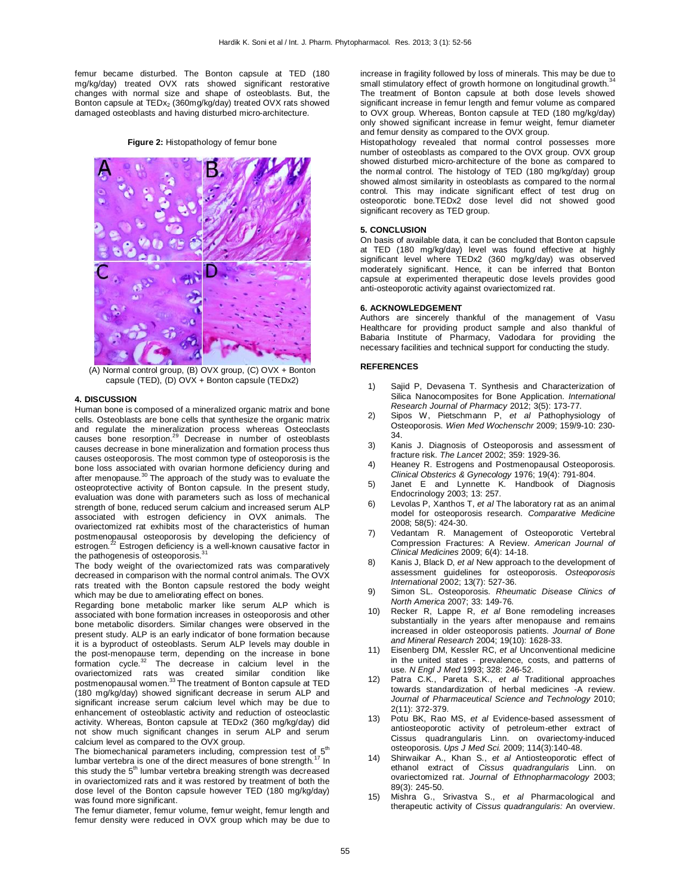femur became disturbed. The Bonton capsule at TED (180 mg/kg/day) treated OVX rats showed significant restorative changes with normal size and shape of osteoblasts. But, the Bonton capsule at TEDx<sub>2</sub> (360mg/kg/day) treated OVX rats showed damaged osteoblasts and having disturbed micro-architecture.

**Figure 2:** Histopathology of femur bone



(A) Normal control group, (B) OVX group, (C) OVX + Bonton capsule (TED), (D) OVX + Bonton capsule (TEDx2)

#### **4. DISCUSSION**

Human bone is composed of a mineralized organic matrix and bone cells. Osteoblasts are bone cells that synthesize the organic matrix and regulate the mineralization process whereas Osteoclasts causes bone resorption.<sup>29</sup> Decrease in number of osteoblasts causes decrease in bone mineralization and formation process thus causes osteoporosis. The most common type of osteoporosis is the bone loss associated with ovarian hormone deficiency during and after menopause.<sup>30</sup> The approach of the study was to evaluate the osteoprotective activity of Bonton capsule. In the present study, evaluation was done with parameters such as loss of mechanical strength of bone, reduced serum calcium and increased serum ALP associated with estrogen deficiency in OVX animals. The ovariectomized rat exhibits most of the characteristics of human postmenopausal osteoporosis by developing the deficiency of estrogen.<sup>22</sup> Estrogen deficiency is a well-known causative factor in the pathogenesis of osteoporosis.<sup>3</sup>

The body weight of the ovariectomized rats was comparatively decreased in comparison with the normal control animals. The OVX rats treated with the Bonton capsule restored the body weight which may be due to ameliorating effect on bones.

Regarding bone metabolic marker like serum ALP which is associated with bone formation increases in osteoporosis and other bone metabolic disorders. Similar changes were observed in the present study. ALP is an early indicator of bone formation because it is a byproduct of osteoblasts. Serum ALP levels may double in the post-menopause term, depending on the increase in bone formation cycle.<sup>32</sup> The decrease in calcium level in the ovariectomized rats was created similar condition like<br>postmenopausal women.<sup>33</sup> The treatment of Bonton capsule at TED (180 mg/kg/day) showed significant decrease in serum ALP and significant increase serum calcium level which may be due to enhancement of osteoblastic activity and reduction of osteoclastic activity. Whereas, Bonton capsule at TEDx2 (360 mg/kg/day) did not show much significant changes in serum ALP and serum calcium level as compared to the OVX group.

The biomechanical parameters including, compression test of  $5<sup>th</sup>$ lumbar vertebra is one of the direct measures of bone strength.<sup>17</sup> In this study the  $5<sup>th</sup>$  lumbar vertebra breaking strength was decreased in ovariectomized rats and it was restored by treatment of both the dose level of the Bonton capsule however TED (180 mg/kg/day) was found more significant.

The femur diameter, femur volume, femur weight, femur length and femur density were reduced in OVX group which may be due to increase in fragility followed by loss of minerals. This may be due to small stimulatory effect of growth hormone on longitudinal growth. The treatment of Bonton capsule at both dose levels showed significant increase in femur length and femur volume as compared to OVX group. Whereas, Bonton capsule at TED (180 mg/kg/day) only showed significant increase in femur weight, femur diameter and femur density as compared to the OVX group.

Histopathology revealed that normal control possesses more number of osteoblasts as compared to the OVX group. OVX group showed disturbed micro-architecture of the bone as compared to the normal control. The histology of TED (180 mg/kg/day) group showed almost similarity in osteoblasts as compared to the normal control. This may indicate significant effect of test drug on osteoporotic bone.TEDx2 dose level did not showed good significant recovery as TED group.

### **5. CONCLUSION**

On basis of available data, it can be concluded that Bonton capsule at TED (180 mg/kg/day) level was found effective at highly significant level where TEDx2 (360 mg/kg/day) was observed moderately significant. Hence, it can be inferred that Bonton capsule at experimented therapeutic dose levels provides good anti-osteoporotic activity against ovariectomized rat.

#### **6. ACKNOWLEDGEMENT**

Authors are sincerely thankful of the management of Vasu Healthcare for providing product sample and also thankful of Babaria Institute of Pharmacy, Vadodara for providing the necessary facilities and technical support for conducting the study.

#### **REFERENCES**

- 1) Sajid P, Devasena T. Synthesis and Characterization of Silica Nanocomposites for Bone Application. *International Research Journal of Pharmacy* 2012; 3(5): 173-77.
- 2) Sipos W, Pietschmann P, *et al* Pathophysiology of Osteoporosis. *Wien Med Wochenschr* 2009; 159/9-10: 230- 34.
- 3) Kanis J. Diagnosis of Osteoporosis and assessment of fracture risk. *The Lancet* 2002; 359: 1929-36.
- 4) Heaney R. Estrogens and Postmenopausal Osteoporosis. *Clinical Obsterics & Gynecology* 1976; 19(4): 791-804.
- 5) Janet E and Lynnette K. Handbook of Diagnosis Endocrinology 2003; 13: 257.
- 6) Levolas P, Xanthos T, *et al* The laboratory rat as an animal model for osteoporosis research. *Comparative Medicine* 2008; 58(5): 424-30.
- Vedantam R. Management of Osteoporotic Vertebral Compression Fractures: A Review. *American Journal of Clinical Medicines* 2009; 6(4): 14-18.
- 8) Kanis J, Black D, *et al* New approach to the development of assessment guidelines for osteoporosis. *Osteoporosis International* 2002; 13(7): 527-36.
- 9) Simon SL. Osteoporosis. *Rheumatic Disease Clinics of North America* 2007; 33: 149-76.
- 10) Recker R, Lappe R, *et al* Bone remodeling increases substantially in the years after menopause and remains increased in older osteoporosis patients. *Journal of Bone and Mineral Research* 2004; 19(10): 1628-33.
- 11) Eisenberg DM, Kessler RC, *et al* Unconventional medicine in the united states - prevalence, costs, and patterns of use. *N Engl J Med* 1993; 328: 246-52.
- 12) Patra C.K., Pareta S.K., *et al* Traditional approaches towards standardization of herbal medicines -A review. *Journal of Pharmaceutical Science and Technology* 2010; 2(11): 372-379.
- 13) Potu BK, Rao MS, *et al* Evidence-based assessment of antiosteoporotic activity of petroleum-ether extract of Cissus quadrangularis Linn. on ovariectomy-induced osteoporosis. *Ups J Med Sci.* 2009; 114(3):140-48.
- 14) Shirwaikar A., Khan S., *et al* Antiosteoporotic effect of ethanol extract of *Cissus quadrangularis* Linn. on ovariectomized rat. *Journal of Ethnopharmacology* 2003; 89(3): 245-50.
- 15) Mishra G., Srivastva S., *et al* Pharmacological and therapeutic activity of *Cissus quadrangularis:* An overview.